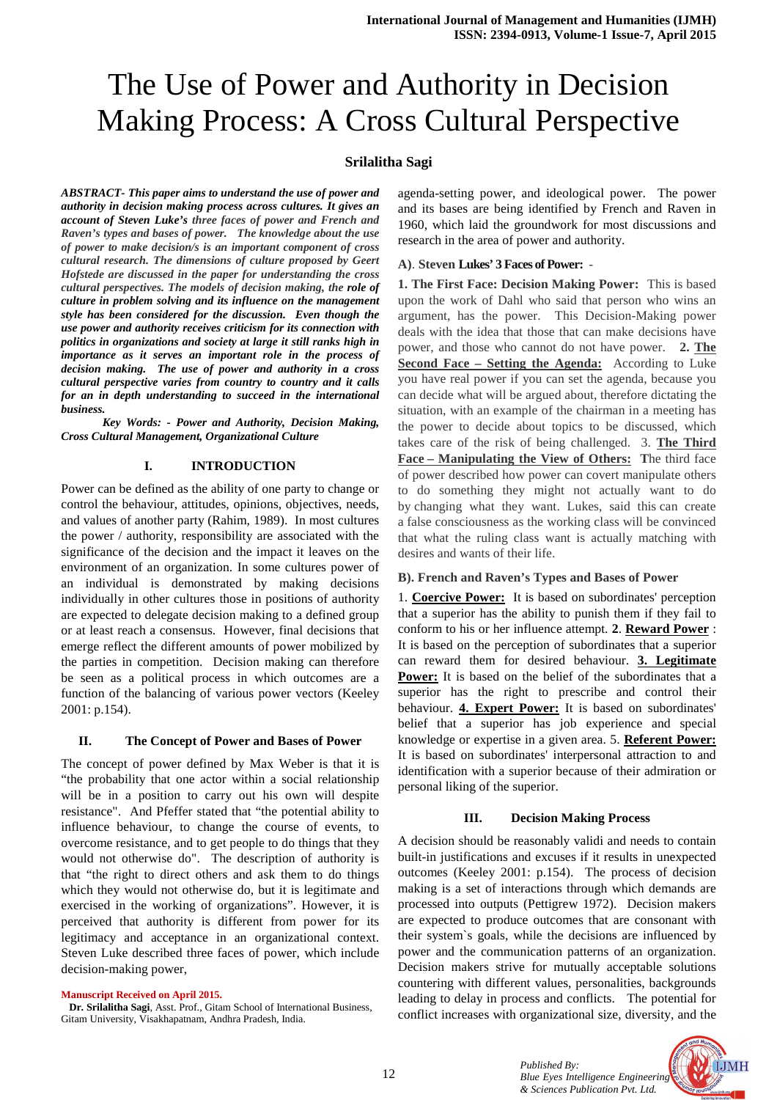# The Use of Power and Authority in Decision Making Process: A Cross Cultural Perspective

## **Srilalitha Sagi**

*ABSTRACT- This paper aims to understand the use of power and authority in decision making process across cultures. It gives an account of Steven Luke's three faces of power and French and Raven's types and bases of power. The knowledge about the use of power to make decision/s is an important component of cross cultural research. The dimensions of culture proposed by Geert Hofstede are discussed in the paper for understanding the cross cultural perspectives. The models of decision making, the role of culture in problem solving and its influence on the management style has been considered for the discussion. Even though the use power and authority receives criticism for its connection with politics in organizations and society at large it still ranks high in importance as it serves an important role in the process of decision making. The use of power and authority in a cross cultural perspective varies from country to country and it calls for an in depth understanding to succeed in the international business.* 

 *Key Words: - Power and Authority, Decision Making, Cross Cultural Management, Organizational Culture* 

### **I. INTRODUCTION**

Power can be defined as the ability of one party to change or control the behaviour, attitudes, opinions, objectives, needs, and values of another party (Rahim, 1989). In most cultures the power / authority, responsibility are associated with the significance of the decision and the impact it leaves on the environment of an organization. In some cultures power of an individual is demonstrated by making decisions individually in other cultures those in positions of authority are expected to delegate decision making to a defined group or at least reach a consensus. However, final decisions that emerge reflect the different amounts of power mobilized by the parties in competition. Decision making can therefore be seen as a political process in which outcomes are a function of the balancing of various power vectors (Keeley 2001: p.154).

#### **II. The Concept of Power and Bases of Power**

The concept of power defined by Max Weber is that it is "the probability that one actor within a social relationship will be in a position to carry out his own will despite resistance". And Pfeffer stated that "the potential ability to influence behaviour, to change the course of events, to overcome resistance, and to get people to do things that they would not otherwise do". The description of authority is that "the right to direct others and ask them to do things which they would not otherwise do, but it is legitimate and exercised in the working of organizations". However, it is perceived that authority is different from power for its legitimacy and acceptance in an organizational context. Steven Luke described three faces of power, which include decision-making power,

#### **Manuscript Received on April 2015.**

 **Dr. Srilalitha Sagi**, Asst. Prof., Gitam School of International Business, Gitam University, Visakhapatnam, Andhra Pradesh, India.

agenda-setting power, and ideological power. The power and its bases are being identified by French and Raven in 1960, which laid the groundwork for most discussions and research in the area of power and authority.

#### **A)**. **Steven Lukes' 3 Faces of Power:** -

**1. The First Face: Decision Making Power:** This is based upon the work of Dahl who said that person who wins an argument, has the power. This Decision-Making power deals with the idea that those that can make decisions have power, and those who cannot do not have power. **2. The Second Face – Setting the Agenda:** According to Luke you have real power if you can set the agenda, because you can decide what will be argued about, therefore dictating the situation, with an example of the chairman in a meeting has the power to decide about topics to be discussed, which takes care of the risk of being challenged. 3. **The Third Face – Manipulating the View of Others: T**he third face of power described how power can covert manipulate others to do something they might not actually want to do by changing what they want. Lukes, said this can create a false consciousness as the working class will be convinced that what the ruling class want is actually matching with desires and wants of their life.

#### **B). French and Raven's Types and Bases of Power**

1. **Coercive Power:** It is based on subordinates' perception that a superior has the ability to punish them if they fail to conform to his or her influence attempt. **2**. **Reward Power** : It is based on the perception of subordinates that a superior can reward them for desired behaviour. **3. Legitimate Power:** It is based on the belief of the subordinates that a superior has the right to prescribe and control their behaviour. **4. Expert Power:** It is based on subordinates' belief that a superior has job experience and special knowledge or expertise in a given area. 5. **Referent Power:** It is based on subordinates' interpersonal attraction to and identification with a superior because of their admiration or personal liking of the superior.

#### **III. Decision Making Process**

A decision should be reasonably validi and needs to contain built-in justifications and excuses if it results in unexpected outcomes (Keeley 2001: p.154). The process of decision making is a set of interactions through which demands are processed into outputs (Pettigrew 1972). Decision makers are expected to produce outcomes that are consonant with their system`s goals, while the decisions are influenced by power and the communication patterns of an organization. Decision makers strive for mutually acceptable solutions countering with different values, personalities, backgrounds leading to delay in process and conflicts. The potential for conflict increases with organizational size, diversity, and the

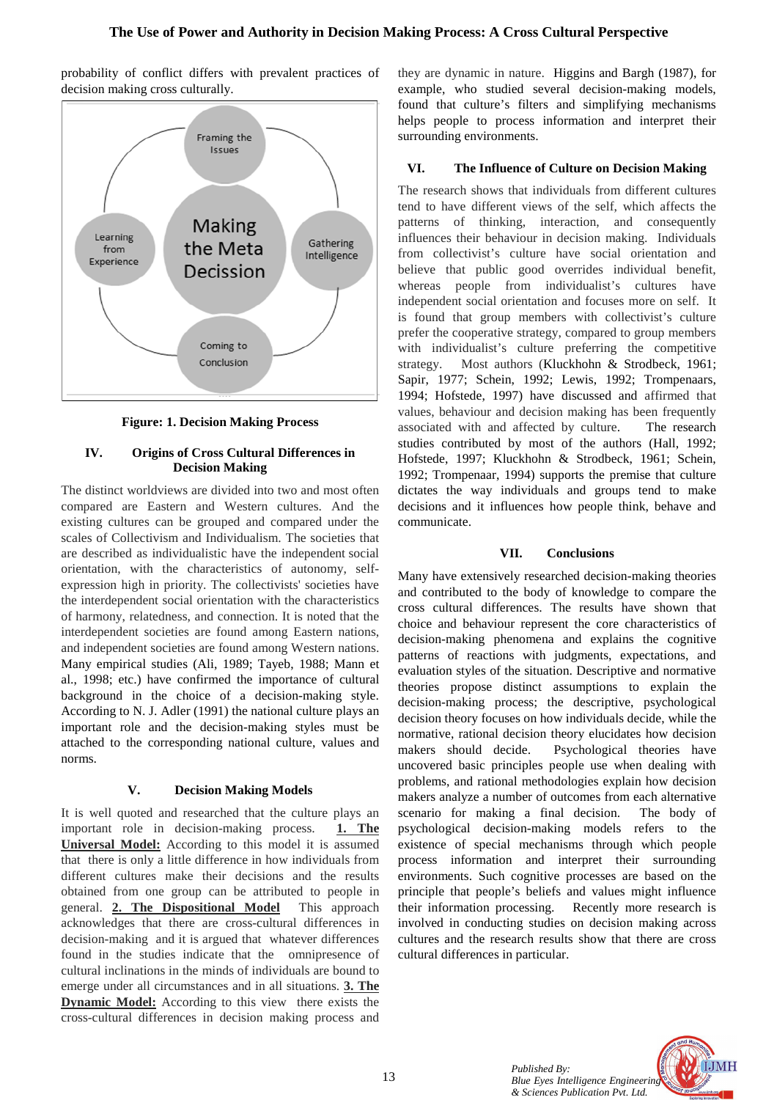

probability of conflict differs with prevalent practices of decision making cross culturally.

**Figure: 1. Decision Making Process** 

## **IV. Origins of Cross Cultural Differences in Decision Making**

The distinct worldviews are divided into two and most often compared are Eastern and Western cultures. And the existing cultures can be grouped and compared under the scales of Collectivism and Individualism. The societies that are described as individualistic have the independent social orientation, with the characteristics of autonomy, selfexpression high in priority. The collectivists' societies have the interdependent social orientation with the characteristics of harmony, relatedness, and connection. It is noted that the interdependent societies are found among Eastern nations, and independent societies are found among Western nations. Many empirical studies (Ali, 1989; Tayeb, 1988; Mann et al., 1998; etc.) have confirmed the importance of cultural background in the choice of a decision-making style. According to N. J. Adler (1991) the national culture plays an important role and the decision-making styles must be attached to the corresponding national culture, values and norms.

## **V. Decision Making Models**

It is well quoted and researched that the culture plays an important role in decision-making process. **1. The Universal Model:** According to this model it is assumed that there is only a little difference in how individuals from different cultures make their decisions and the results obtained from one group can be attributed to people in general. **2. The Dispositional Model** This approach acknowledges that there are cross-cultural differences in decision-making and it is argued that whatever differences found in the studies indicate that the omnipresence of cultural inclinations in the minds of individuals are bound to emerge under all circumstances and in all situations. **3. The Dynamic Model:** According to this view there exists the cross-cultural differences in decision making process and

they are dynamic in nature. Higgins and Bargh (1987), for example, who studied several decision-making models, found that culture's filters and simplifying mechanisms helps people to process information and interpret their surrounding environments.

## **VI. The Influence of Culture on Decision Making**

The research shows that individuals from different cultures tend to have different views of the self, which affects the patterns of thinking, interaction, and consequently influences their behaviour in decision making. Individuals from collectivist's culture have social orientation and believe that public good overrides individual benefit, whereas people from individualist's cultures have independent social orientation and focuses more on self. It is found that group members with collectivist's culture prefer the cooperative strategy, compared to group members with individualist's culture preferring the competitive strategy. Most authors (Kluckhohn & Strodbeck, 1961; Sapir, 1977; Schein, 1992; Lewis, 1992; Trompenaars, 1994; Hofstede, 1997) have discussed and affirmed that values, behaviour and decision making has been frequently associated with and affected by culture. The research studies contributed by most of the authors (Hall, 1992; Hofstede, 1997; Kluckhohn & Strodbeck, 1961; Schein, 1992; Trompenaar, 1994) supports the premise that culture dictates the way individuals and groups tend to make decisions and it influences how people think, behave and communicate.

## **VII. Conclusions**

Many have extensively researched decision-making theories and contributed to the body of knowledge to compare the cross cultural differences. The results have shown that choice and behaviour represent the core characteristics of decision-making phenomena and explains the cognitive patterns of reactions with judgments, expectations, and evaluation styles of the situation. Descriptive and normative theories propose distinct assumptions to explain the decision-making process; the descriptive, psychological decision theory focuses on how individuals decide, while the normative, rational decision theory elucidates how decision makers should decide. Psychological theories have uncovered basic principles people use when dealing with problems, and rational methodologies explain how decision makers analyze a number of outcomes from each alternative scenario for making a final decision. The body of psychological decision-making models refers to the existence of special mechanisms through which people process information and interpret their surrounding environments. Such cognitive processes are based on the principle that people's beliefs and values might influence their information processing. Recently more research is involved in conducting studies on decision making across cultures and the research results show that there are cross cultural differences in particular.